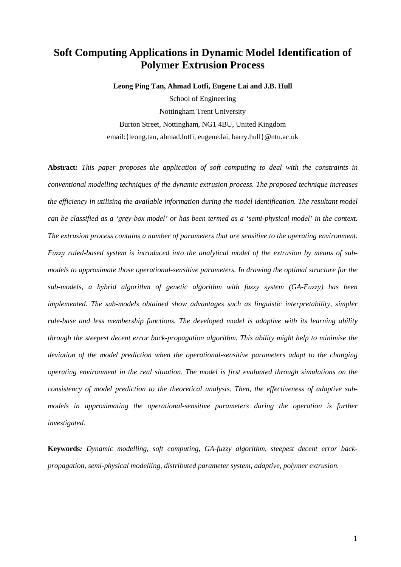# **Soft Computing Applications in Dynamic Model Identification of Polymer Extrusion Process**

**Leong Ping Tan, Ahmad Lotfi, Eugene Lai and J.B. Hull**

School of Engineering Nottingham Trent University Burton Street, Nottingham, NG1 4BU, United Kingdom email:{leong.tan, ahmad.lotfi, eugene.lai, barry.hull}@ntu.ac.uk

**Abstract***: This paper proposes the application of soft computing to deal with the constraints in conventional modelling techniques of the dynamic extrusion process. The proposed technique increases the efficiency in utilising the available information during the model identification. The resultant model can be classified as a 'grey-box model' or has been termed as a 'semi-physical model' in the context. The extrusion process contains a number of parameters that are sensitive to the operating environment. Fuzzy ruled-based system is introduced into the analytical model of the extrusion by means of submodels to approximate those operational-sensitive parameters. In drawing the optimal structure for the sub-models, a hybrid algorithm of genetic algorithm with fuzzy system (GA-Fuzzy) has been implemented. The sub-models obtained show advantages such as linguistic interpretability, simpler rule-base and less membership functions. The developed model is adaptive with its learning ability through the steepest decent error back-propagation algorithm. This ability might help to minimise the deviation of the model prediction when the operational-sensitive parameters adapt to the changing operating environment in the real situation. The model is first evaluated through simulations on the consistency of model prediction to the theoretical analysis. Then, the effectiveness of adaptive submodels in approximating the operational-sensitive parameters during the operation is further investigated.* 

**Keywords***: Dynamic modelling, soft computing, GA-fuzzy algorithm, steepest decent error backpropagation, semi-physical modelling, distributed parameter system, adaptive, polymer extrusion.*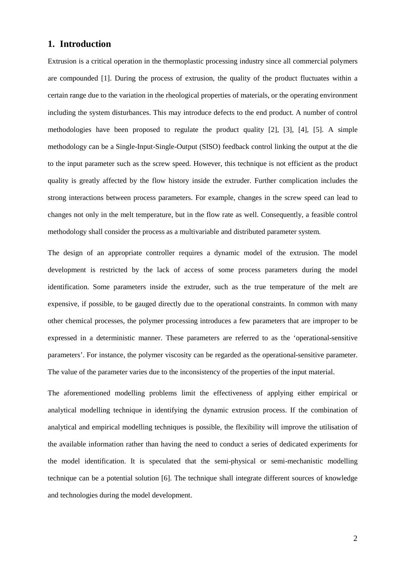## **1. Introduction**

Extrusion is a critical operation in the thermoplastic processing industry since all commercial polymers are compounded [1]. During the process of extrusion, the quality of the product fluctuates within a certain range due to the variation in the rheological properties of materials, or the operating environment including the system disturbances. This may introduce defects to the end product. A number of control methodologies have been proposed to regulate the product quality [2], [3], [4], [5]. A simple methodology can be a Single-Input-Single-Output (SISO) feedback control linking the output at the die to the input parameter such as the screw speed. However, this technique is not efficient as the product quality is greatly affected by the flow history inside the extruder. Further complication includes the strong interactions between process parameters. For example, changes in the screw speed can lead to changes not only in the melt temperature, but in the flow rate as well. Consequently, a feasible control methodology shall consider the process as a multivariable and distributed parameter system.

The design of an appropriate controller requires a dynamic model of the extrusion. The model development is restricted by the lack of access of some process parameters during the model identification. Some parameters inside the extruder, such as the true temperature of the melt are expensive, if possible, to be gauged directly due to the operational constraints. In common with many other chemical processes, the polymer processing introduces a few parameters that are improper to be expressed in a deterministic manner. These parameters are referred to as the 'operational-sensitive parameters'. For instance, the polymer viscosity can be regarded as the operational-sensitive parameter. The value of the parameter varies due to the inconsistency of the properties of the input material.

The aforementioned modelling problems limit the effectiveness of applying either empirical or analytical modelling technique in identifying the dynamic extrusion process. If the combination of analytical and empirical modelling techniques is possible, the flexibility will improve the utilisation of the available information rather than having the need to conduct a series of dedicated experiments for the model identification. It is speculated that the semi-physical or semi-mechanistic modelling technique can be a potential solution [6]. The technique shall integrate different sources of knowledge and technologies during the model development.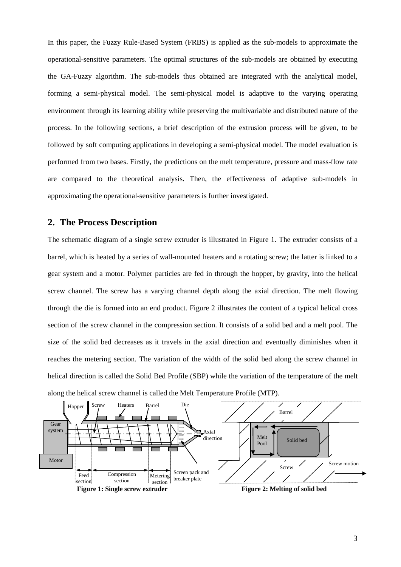In this paper, the Fuzzy Rule-Based System (FRBS) is applied as the sub-models to approximate the operational-sensitive parameters. The optimal structures of the sub-models are obtained by executing the GA-Fuzzy algorithm. The sub-models thus obtained are integrated with the analytical model, forming a semi-physical model. The semi-physical model is adaptive to the varying operating environment through its learning ability while preserving the multivariable and distributed nature of the process. In the following sections, a brief description of the extrusion process will be given, to be followed by soft computing applications in developing a semi-physical model. The model evaluation is performed from two bases. Firstly, the predictions on the melt temperature, pressure and mass-flow rate are compared to the theoretical analysis. Then, the effectiveness of adaptive sub-models in approximating the operational-sensitive parameters is further investigated.

## **2. The Process Description**

The schematic diagram of a single screw extruder is illustrated in Figure 1. The extruder consists of a barrel, which is heated by a series of wall-mounted heaters and a rotating screw; the latter is linked to a gear system and a motor. Polymer particles are fed in through the hopper, by gravity, into the helical screw channel. The screw has a varying channel depth along the axial direction. The melt flowing through the die is formed into an end product. Figure 2 illustrates the content of a typical helical cross section of the screw channel in the compression section. It consists of a solid bed and a melt pool. The size of the solid bed decreases as it travels in the axial direction and eventually diminishes when it reaches the metering section. The variation of the width of the solid bed along the screw channel in helical direction is called the Solid Bed Profile (SBP) while the variation of the temperature of the melt along the helical screw channel is called the Melt Temperature Profile (MTP).



3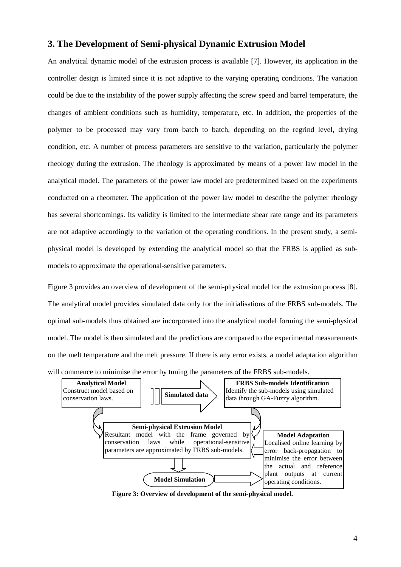# **3. The Development of Semi-physical Dynamic Extrusion Model**

An analytical dynamic model of the extrusion process is available [7]. However, its application in the controller design is limited since it is not adaptive to the varying operating conditions. The variation could be due to the instability of the power supply affecting the screw speed and barrel temperature, the changes of ambient conditions such as humidity, temperature, etc. In addition, the properties of the polymer to be processed may vary from batch to batch, depending on the regrind level, drying condition, etc. A number of process parameters are sensitive to the variation, particularly the polymer rheology during the extrusion. The rheology is approximated by means of a power law model in the analytical model. The parameters of the power law model are predetermined based on the experiments conducted on a rheometer. The application of the power law model to describe the polymer rheology has several shortcomings. Its validity is limited to the intermediate shear rate range and its parameters are not adaptive accordingly to the variation of the operating conditions. In the present study, a semiphysical model is developed by extending the analytical model so that the FRBS is applied as submodels to approximate the operational-sensitive parameters.

Figure 3 provides an overview of development of the semi-physical model for the extrusion process [8]. The analytical model provides simulated data only for the initialisations of the FRBS sub-models. The optimal sub-models thus obtained are incorporated into the analytical model forming the semi-physical model. The model is then simulated and the predictions are compared to the experimental measurements on the melt temperature and the melt pressure. If there is any error exists, a model adaptation algorithm will commence to minimise the error by tuning the parameters of the FRBS sub-models.



**Figure 3: Overview of development of the semi-physical model.**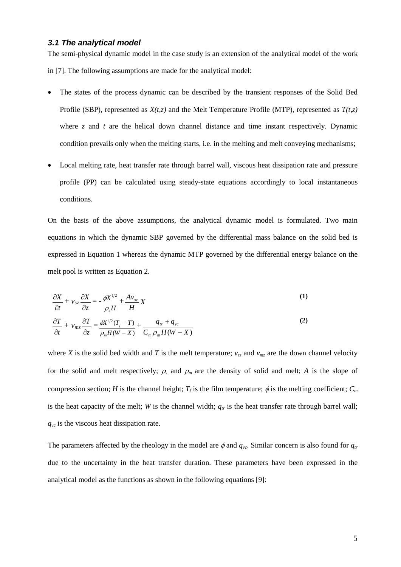## *3.1 The analytical model*

The semi-physical dynamic model in the case study is an extension of the analytical model of the work in [7]. The following assumptions are made for the analytical model:

- The states of the process dynamic can be described by the transient responses of the Solid Bed Profile (SBP), represented as *X(t,z)* and the Melt Temperature Profile (MTP), represented as *T(t,z)* where  $\zeta$  and  $t$  are the helical down channel distance and time instant respectively. Dynamic condition prevails only when the melting starts, i.e. in the melting and melt conveying mechanisms;
- Local melting rate, heat transfer rate through barrel wall, viscous heat dissipation rate and pressure profile (PP) can be calculated using steady-state equations accordingly to local instantaneous conditions.

On the basis of the above assumptions, the analytical dynamic model is formulated. Two main equations in which the dynamic SBP governed by the differential mass balance on the solid bed is expressed in Equation 1 whereas the dynamic MTP governed by the differential energy balance on the melt pool is written as Equation 2.

$$
\frac{\partial X}{\partial t} + \nu_{sz} \frac{\partial X}{\partial z} = -\frac{\phi X^{1/2}}{\rho_s H} + \frac{A \nu_{sz}}{H} X \tag{1}
$$

$$
\frac{\partial T}{\partial t} + \nu_{mz} \frac{\partial T}{\partial z} = \frac{\phi X^{1/2} (T_f - T)}{\rho_m H (W - X)} + \frac{q_{tr} + q_{vc}}{C_m \rho_m H (W - X)}
$$
(2)

where *X* is the solid bed width and *T* is the melt temperature;  $v_{sz}$  and  $v_{mz}$  are the down channel velocity for the solid and melt respectively;  $\rho_s$  and  $\rho_m$  are the density of solid and melt; *A* is the slope of compression section; *H* is the channel height;  $T_f$  is the film temperature;  $\phi$  is the melting coefficient;  $C_m$ is the heat capacity of the melt; *W* is the channel width;  $q<sub>tr</sub>$  is the heat transfer rate through barrel wall; *qvc* is the viscous heat dissipation rate.

The parameters affected by the rheology in the model are  $\phi$  and  $q_{vc}$ . Similar concern is also found for  $q_{tr}$ due to the uncertainty in the heat transfer duration. These parameters have been expressed in the analytical model as the functions as shown in the following equations [9]: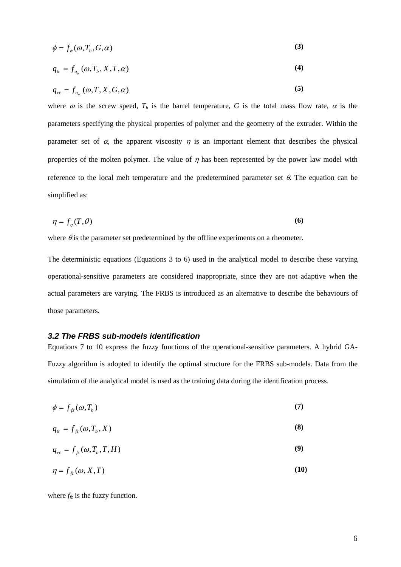$$
\phi = f_{\phi}(\omega, T_b, G, \alpha) \tag{3}
$$

$$
q_{tr} = f_{q_{tr}}(\omega, T_b, X, T, \alpha) \tag{4}
$$

$$
q_{\scriptscriptstyle{vc}} = f_{q_{\scriptscriptstyle{vc}}}(\omega, T, X, G, \alpha) \tag{5}
$$

where  $\omega$  is the screw speed,  $T_b$  is the barrel temperature, G is the total mass flow rate,  $\alpha$  is the parameters specifying the physical properties of polymer and the geometry of the extruder. Within the parameter set of  $\alpha$ , the apparent viscosity  $\eta$  is an important element that describes the physical properties of the molten polymer. The value of  $\eta$  has been represented by the power law model with reference to the local melt temperature and the predetermined parameter set  $\theta$ . The equation can be simplified as:

$$
\eta = f_{\eta}(T,\theta) \tag{6}
$$

where  $\theta$  is the parameter set predetermined by the offline experiments on a rheometer.

The deterministic equations (Equations 3 to 6) used in the analytical model to describe these varying operational-sensitive parameters are considered inappropriate, since they are not adaptive when the actual parameters are varying. The FRBS is introduced as an alternative to describe the behaviours of those parameters.

## *3.2 The FRBS sub-models identification*

Equations 7 to 10 express the fuzzy functions of the operational-sensitive parameters. A hybrid GA-Fuzzy algorithm is adopted to identify the optimal structure for the FRBS sub-models. Data from the simulation of the analytical model is used as the training data during the identification process.

$$
\phi = f_{f(z)}(\omega, T_b) \tag{7}
$$

$$
q_{tr} = f_{f\hat{z}}(\omega, T_b, X) \tag{8}
$$

$$
q_{vc} = f_{f\hat{z}}(\omega, T_b, T, H) \tag{9}
$$

$$
\eta = f_{f(z)}(\omega, X, T) \tag{10}
$$

where  $f_{fz}$  is the fuzzy function.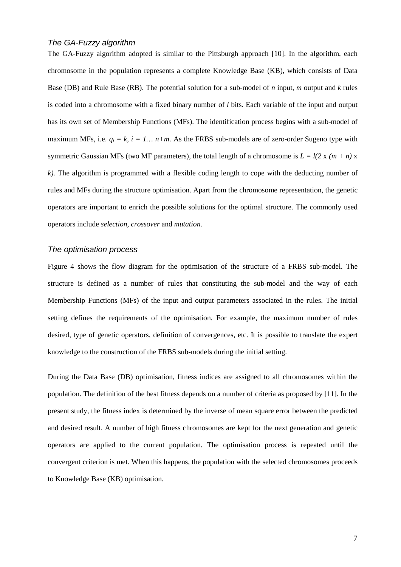## *The GA-Fuzzy algorithm*

The GA-Fuzzy algorithm adopted is similar to the Pittsburgh approach [10]. In the algorithm, each chromosome in the population represents a complete Knowledge Base (KB), which consists of Data Base (DB) and Rule Base (RB). The potential solution for a sub-model of *n* input, *m* output and *k* rules is coded into a chromosome with a fixed binary number of *l* bits. Each variable of the input and output has its own set of Membership Functions (MFs). The identification process begins with a sub-model of maximum MFs, i.e.  $q_i = k$ ,  $i = 1...$   $n+m$ . As the FRBS sub-models are of zero-order Sugeno type with symmetric Gaussian MFs (two MF parameters), the total length of a chromosome is  $L = l(2 \times (m + n) \times$ *k).* The algorithm is programmed with a flexible coding length to cope with the deducting number of rules and MFs during the structure optimisation. Apart from the chromosome representation, the genetic operators are important to enrich the possible solutions for the optimal structure. The commonly used operators include *selection*, *crossover* and *mutation*.

#### *The optimisation process*

Figure 4 shows the flow diagram for the optimisation of the structure of a FRBS sub-model. The structure is defined as a number of rules that constituting the sub-model and the way of each Membership Functions (MFs) of the input and output parameters associated in the rules. The initial setting defines the requirements of the optimisation. For example, the maximum number of rules desired, type of genetic operators, definition of convergences, etc. It is possible to translate the expert knowledge to the construction of the FRBS sub-models during the initial setting.

During the Data Base (DB) optimisation, fitness indices are assigned to all chromosomes within the population. The definition of the best fitness depends on a number of criteria as proposed by [11]. In the present study, the fitness index is determined by the inverse of mean square error between the predicted and desired result. A number of high fitness chromosomes are kept for the next generation and genetic operators are applied to the current population. The optimisation process is repeated until the convergent criterion is met. When this happens, the population with the selected chromosomes proceeds to Knowledge Base (KB) optimisation.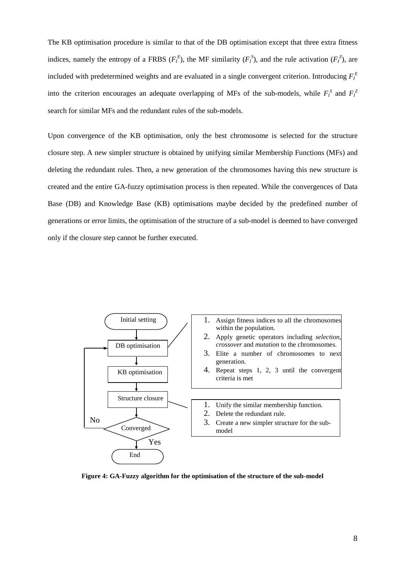The KB optimisation procedure is similar to that of the DB optimisation except that three extra fitness indices, namely the entropy of a FRBS  $(F_I^E)$ , the MF similarity  $(F_I^S)$ , and the rule activation  $(F_I^Z)$ , are included with predetermined weights and are evaluated in a single convergent criterion. Introducing  $F_I^E$ into the criterion encourages an adequate overlapping of MFs of the sub-models, while  $F_I^S$  and  $F_I^Z$ search for similar MFs and the redundant rules of the sub-models.

Upon convergence of the KB optimisation, only the best chromosome is selected for the structure closure step. A new simpler structure is obtained by unifying similar Membership Functions (MFs) and deleting the redundant rules. Then, a new generation of the chromosomes having this new structure is created and the entire GA-fuzzy optimisation process is then repeated. While the convergences of Data Base (DB) and Knowledge Base (KB) optimisations maybe decided by the predefined number of generations or error limits, the optimisation of the structure of a sub-model is deemed to have converged only if the closure step cannot be further executed.



**Figure 4: GA-Fuzzy algorithm for the optimisation of the structure of the sub-model**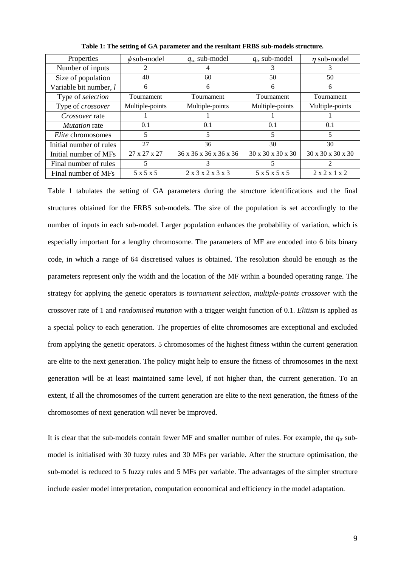| Properties              | $\phi$ sub-model      | $q_{vc}$ sub-model                      | $q_{tr}$ sub-model | $\eta$ sub-model  |
|-------------------------|-----------------------|-----------------------------------------|--------------------|-------------------|
| Number of inputs        |                       |                                         | 3                  | 3                 |
| Size of population      | 40                    | 60                                      | 50                 | 50                |
| Variable bit number, l  | 6                     | 6                                       | 6                  | 6                 |
| Type of selection       | Tournament            | Tournament                              | Tournament         | <b>Tournament</b> |
| Type of crossover       | Multiple-points       | Multiple-points                         | Multiple-points    | Multiple-points   |
| <i>Crossover</i> rate   |                       |                                         |                    |                   |
| <i>Mutation</i> rate    | 0.1                   | 0.1                                     | 0.1                | 0.1               |
| Elite chromosomes       | 5                     | 5                                       | 5                  | 5                 |
| Initial number of rules | 27                    | 36                                      | 30                 | 30                |
| Initial number of MFs   | 27 x 27 x 27          | 36 x 36 x 36 x 36 x 36                  | 30 x 30 x 30 x 30  | 30 x 30 x 30 x 30 |
| Final number of rules   | 5                     | 3                                       | 5.                 | 2                 |
| Final number of MFs     | $5 \times 5 \times 5$ | $2 \times 3 \times 2 \times 3 \times 3$ | 5 x 5 x 5 x 5      | 2x2x1x2           |

**Table 1: The setting of GA parameter and the resultant FRBS sub-models structure.**

Table 1 tabulates the setting of GA parameters during the structure identifications and the final structures obtained for the FRBS sub-models. The size of the population is set accordingly to the number of inputs in each sub-model. Larger population enhances the probability of variation, which is especially important for a lengthy chromosome. The parameters of MF are encoded into 6 bits binary code, in which a range of 64 discretised values is obtained. The resolution should be enough as the parameters represent only the width and the location of the MF within a bounded operating range. The strategy for applying the genetic operators is *tournament selection*, *multiple-points crossover* with the crossover rate of 1 and *randomised mutation* with a trigger weight function of 0.1. *Elitism* is applied as a special policy to each generation. The properties of elite chromosomes are exceptional and excluded from applying the genetic operators. 5 chromosomes of the highest fitness within the current generation are elite to the next generation. The policy might help to ensure the fitness of chromosomes in the next generation will be at least maintained same level, if not higher than, the current generation. To an extent, if all the chromosomes of the current generation are elite to the next generation, the fitness of the chromosomes of next generation will never be improved.

It is clear that the sub-models contain fewer MF and smaller number of rules. For example, the  $q<sub>tr</sub>$  submodel is initialised with 30 fuzzy rules and 30 MFs per variable. After the structure optimisation, the sub-model is reduced to 5 fuzzy rules and 5 MFs per variable. The advantages of the simpler structure include easier model interpretation, computation economical and efficiency in the model adaptation.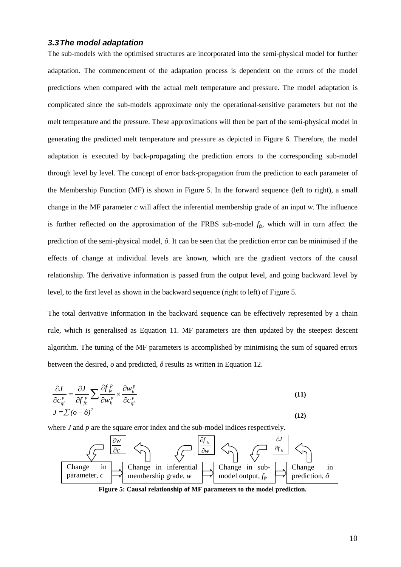## *3.3The model adaptation*

The sub-models with the optimised structures are incorporated into the semi-physical model for further adaptation. The commencement of the adaptation process is dependent on the errors of the model predictions when compared with the actual melt temperature and pressure. The model adaptation is complicated since the sub-models approximate only the operational-sensitive parameters but not the melt temperature and the pressure. These approximations will then be part of the semi-physical model in generating the predicted melt temperature and pressure as depicted in Figure 6. Therefore, the model adaptation is executed by back-propagating the prediction errors to the corresponding sub-model through level by level. The concept of error back-propagation from the prediction to each parameter of the Membership Function (MF) is shown in Figure 5. In the forward sequence (left to right), a small change in the MF parameter *c* will affect the inferential membership grade of an input *w*. The influence is further reflected on the approximation of the FRBS sub-model  $f<sub>fz</sub>$ , which will in turn affect the prediction of the semi-physical model, *ô*. It can be seen that the prediction error can be minimised if the effects of change at individual levels are known, which are the gradient vectors of the causal relationship. The derivative information is passed from the output level, and going backward level by level, to the first level as shown in the backward sequence (right to left) of Figure 5.

The total derivative information in the backward sequence can be effectively represented by a chain rule, which is generalised as Equation 11. MF parameters are then updated by the steepest descent algorithm. The tuning of the MF parameters is accomplished by minimising the sum of squared errors between the desired, *o* and predicted, *ô* results as written in Equation 12.

$$
\frac{\partial J}{\partial c_{qi}^p} = \frac{\partial J}{\partial f_{fz}^p} \sum \frac{\partial f_{fz}^p}{\partial w_k^p} \times \frac{\partial w_k^p}{\partial c_{qi}^p}
$$
\n
$$
J = \sum (o - \hat{o})^2
$$
\n(12)

where *J* and *p* are the square error index and the sub-model indices respectively.



**Figure 5: Causal relationship of MF parameters to the model prediction.**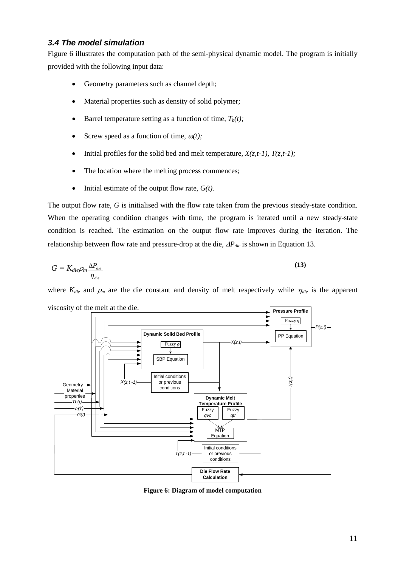## *3.4 The model simulation*

Figure 6 illustrates the computation path of the semi-physical dynamic model. The program is initially provided with the following input data:

- Geometry parameters such as channel depth;
- Material properties such as density of solid polymer;
- Barrel temperature setting as a function of time,  $T_b(t)$ ;
- Screw speed as a function of time,  $\omega(t)$ ;
- Initial profiles for the solid bed and melt temperature,  $X(z,t-1)$ ,  $T(z,t-1)$ ;
- The location where the melting process commences;
- Initial estimate of the output flow rate,  $G(t)$ .

The output flow rate, *G* is initialised with the flow rate taken from the previous steady-state condition. When the operating condition changes with time, the program is iterated until a new steady-state condition is reached. The estimation on the output flow rate improves during the iteration. The relationship between flow rate and pressure-drop at the die, ∆*P<sub>die</sub>* is shown in Equation 13.

$$
G = K_{die} \rho_m \frac{\Delta P_{die}}{\eta_{die}}
$$
\n(13)

where  $K_{die}$  and  $\rho_m$  are the die constant and density of melt respectively while  $\eta_{die}$  is the apparent viscosity of the melt at the die.



**Figure 6: Diagram of model computation**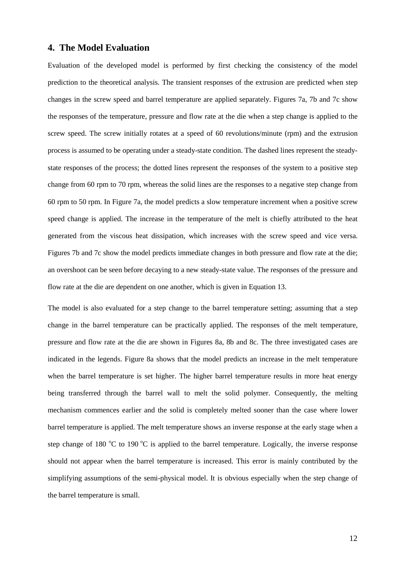## **4. The Model Evaluation**

Evaluation of the developed model is performed by first checking the consistency of the model prediction to the theoretical analysis. The transient responses of the extrusion are predicted when step changes in the screw speed and barrel temperature are applied separately. Figures 7a, 7b and 7c show the responses of the temperature, pressure and flow rate at the die when a step change is applied to the screw speed. The screw initially rotates at a speed of 60 revolutions/minute (rpm) and the extrusion process is assumed to be operating under a steady-state condition. The dashed lines represent the steadystate responses of the process; the dotted lines represent the responses of the system to a positive step change from 60 rpm to 70 rpm, whereas the solid lines are the responses to a negative step change from 60 rpm to 50 rpm. In Figure 7a, the model predicts a slow temperature increment when a positive screw speed change is applied. The increase in the temperature of the melt is chiefly attributed to the heat generated from the viscous heat dissipation, which increases with the screw speed and vice versa. Figures 7b and 7c show the model predicts immediate changes in both pressure and flow rate at the die; an overshoot can be seen before decaying to a new steady-state value. The responses of the pressure and flow rate at the die are dependent on one another, which is given in Equation 13.

The model is also evaluated for a step change to the barrel temperature setting; assuming that a step change in the barrel temperature can be practically applied. The responses of the melt temperature, pressure and flow rate at the die are shown in Figures 8a, 8b and 8c. The three investigated cases are indicated in the legends. Figure 8a shows that the model predicts an increase in the melt temperature when the barrel temperature is set higher. The higher barrel temperature results in more heat energy being transferred through the barrel wall to melt the solid polymer. Consequently, the melting mechanism commences earlier and the solid is completely melted sooner than the case where lower barrel temperature is applied. The melt temperature shows an inverse response at the early stage when a step change of 180  $^{\circ}$ C to 190  $^{\circ}$ C is applied to the barrel temperature. Logically, the inverse response should not appear when the barrel temperature is increased. This error is mainly contributed by the simplifying assumptions of the semi-physical model. It is obvious especially when the step change of the barrel temperature is small.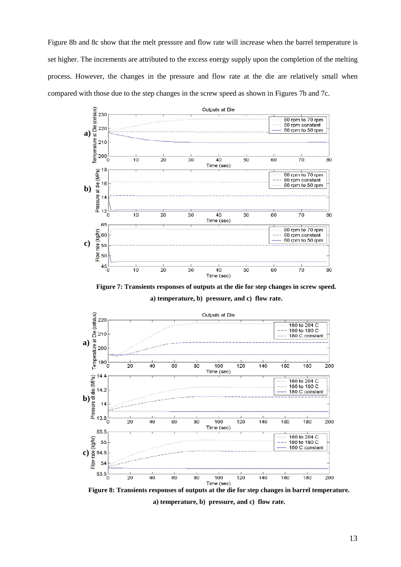Figure 8b and 8c show that the melt pressure and flow rate will increase when the barrel temperature is set higher. The increments are attributed to the excess energy supply upon the completion of the melting process. However, the changes in the pressure and flow rate at the die are relatively small when compared with those due to the step changes in the screw speed as shown in Figures 7b and 7c.



**Figure 7: Transients responses of outputs at the die for step changes in screw speed.**

**a) temperature, b) pressure, and c) flow rate.**



**Figure 8: Transients responses of outputs at the die for step changes in barrel temperature. a) temperature, b) pressure, and c) flow rate.**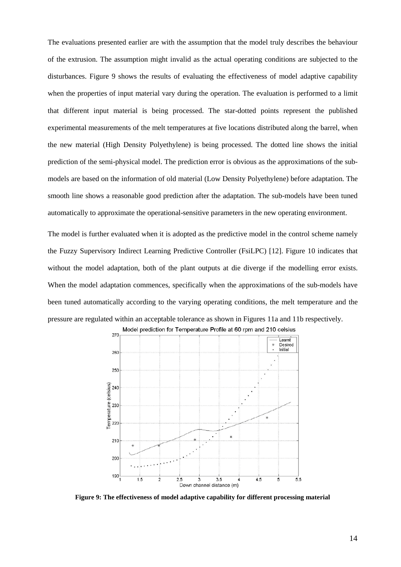The evaluations presented earlier are with the assumption that the model truly describes the behaviour of the extrusion. The assumption might invalid as the actual operating conditions are subjected to the disturbances. Figure 9 shows the results of evaluating the effectiveness of model adaptive capability when the properties of input material vary during the operation. The evaluation is performed to a limit that different input material is being processed. The star-dotted points represent the published experimental measurements of the melt temperatures at five locations distributed along the barrel, when the new material (High Density Polyethylene) is being processed. The dotted line shows the initial prediction of the semi-physical model. The prediction error is obvious as the approximations of the submodels are based on the information of old material (Low Density Polyethylene) before adaptation. The smooth line shows a reasonable good prediction after the adaptation. The sub-models have been tuned automatically to approximate the operational-sensitive parameters in the new operating environment.

The model is further evaluated when it is adopted as the predictive model in the control scheme namely the Fuzzy Supervisory Indirect Learning Predictive Controller (FsiLPC) [12]. Figure 10 indicates that without the model adaptation, both of the plant outputs at die diverge if the modelling error exists. When the model adaptation commences, specifically when the approximations of the sub-models have been tuned automatically according to the varying operating conditions, the melt temperature and the pressure are regulated within an acceptable tolerance as shown in Figures 11a and 11b respectively.



Model prediction for Temperature Profile at 60 rpm and 210 celsius  $27<sup>°</sup>$ 

**Figure 9: The effectiveness of model adaptive capability for different processing material**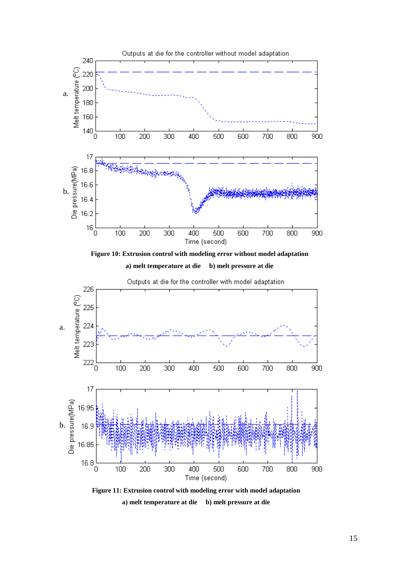

**Figure 10: Extrusion control with modeling error without model adaptation a) melt temperature at die b) melt pressure at die**



Outputs at die for the controller with model adaptation

**Figure 11: Extrusion control with modeling error with model adaptation a) melt temperature at die b) melt pressure at die**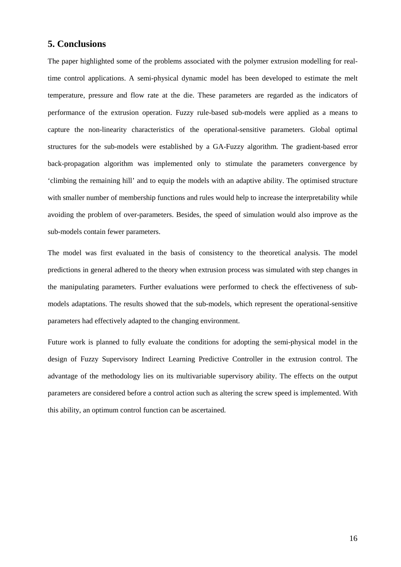## **5. Conclusions**

The paper highlighted some of the problems associated with the polymer extrusion modelling for realtime control applications. A semi-physical dynamic model has been developed to estimate the melt temperature, pressure and flow rate at the die. These parameters are regarded as the indicators of performance of the extrusion operation. Fuzzy rule-based sub-models were applied as a means to capture the non-linearity characteristics of the operational-sensitive parameters. Global optimal structures for the sub-models were established by a GA-Fuzzy algorithm. The gradient-based error back-propagation algorithm was implemented only to stimulate the parameters convergence by 'climbing the remaining hill' and to equip the models with an adaptive ability. The optimised structure with smaller number of membership functions and rules would help to increase the interpretability while avoiding the problem of over-parameters. Besides, the speed of simulation would also improve as the sub-models contain fewer parameters.

The model was first evaluated in the basis of consistency to the theoretical analysis. The model predictions in general adhered to the theory when extrusion process was simulated with step changes in the manipulating parameters. Further evaluations were performed to check the effectiveness of submodels adaptations. The results showed that the sub-models, which represent the operational-sensitive parameters had effectively adapted to the changing environment.

Future work is planned to fully evaluate the conditions for adopting the semi-physical model in the design of Fuzzy Supervisory Indirect Learning Predictive Controller in the extrusion control. The advantage of the methodology lies on its multivariable supervisory ability. The effects on the output parameters are considered before a control action such as altering the screw speed is implemented. With this ability, an optimum control function can be ascertained.